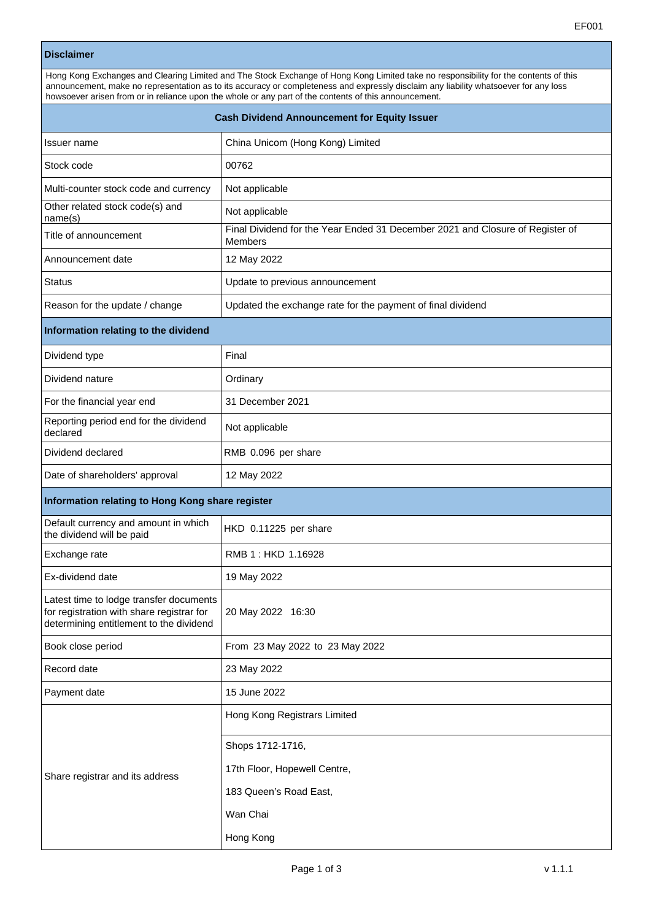## **Disclaimer**

| Hong Kong Exchanges and Clearing Limited and The Stock Exchange of Hong Kong Limited take no responsibility for the contents of this<br>announcement, make no representation as to its accuracy or completeness and expressly disclaim any liability whatsoever for any loss<br>howsoever arisen from or in reliance upon the whole or any part of the contents of this announcement. |                                                                                                 |  |  |  |
|---------------------------------------------------------------------------------------------------------------------------------------------------------------------------------------------------------------------------------------------------------------------------------------------------------------------------------------------------------------------------------------|-------------------------------------------------------------------------------------------------|--|--|--|
| <b>Cash Dividend Announcement for Equity Issuer</b>                                                                                                                                                                                                                                                                                                                                   |                                                                                                 |  |  |  |
| Issuer name                                                                                                                                                                                                                                                                                                                                                                           | China Unicom (Hong Kong) Limited                                                                |  |  |  |
| Stock code                                                                                                                                                                                                                                                                                                                                                                            | 00762                                                                                           |  |  |  |
| Multi-counter stock code and currency                                                                                                                                                                                                                                                                                                                                                 | Not applicable                                                                                  |  |  |  |
| Other related stock code(s) and<br>name(s)                                                                                                                                                                                                                                                                                                                                            | Not applicable                                                                                  |  |  |  |
| Title of announcement                                                                                                                                                                                                                                                                                                                                                                 | Final Dividend for the Year Ended 31 December 2021 and Closure of Register of<br><b>Members</b> |  |  |  |
| Announcement date                                                                                                                                                                                                                                                                                                                                                                     | 12 May 2022                                                                                     |  |  |  |
| <b>Status</b>                                                                                                                                                                                                                                                                                                                                                                         | Update to previous announcement                                                                 |  |  |  |
| Reason for the update / change                                                                                                                                                                                                                                                                                                                                                        | Updated the exchange rate for the payment of final dividend                                     |  |  |  |
| Information relating to the dividend                                                                                                                                                                                                                                                                                                                                                  |                                                                                                 |  |  |  |
| Dividend type                                                                                                                                                                                                                                                                                                                                                                         | Final                                                                                           |  |  |  |
| Dividend nature                                                                                                                                                                                                                                                                                                                                                                       | Ordinary                                                                                        |  |  |  |
| For the financial year end                                                                                                                                                                                                                                                                                                                                                            | 31 December 2021                                                                                |  |  |  |
| Reporting period end for the dividend<br>declared                                                                                                                                                                                                                                                                                                                                     | Not applicable                                                                                  |  |  |  |
| Dividend declared                                                                                                                                                                                                                                                                                                                                                                     | RMB 0.096 per share                                                                             |  |  |  |
| Date of shareholders' approval                                                                                                                                                                                                                                                                                                                                                        | 12 May 2022                                                                                     |  |  |  |
| Information relating to Hong Kong share register                                                                                                                                                                                                                                                                                                                                      |                                                                                                 |  |  |  |
| Default currency and amount in which<br>the dividend will be paid                                                                                                                                                                                                                                                                                                                     | HKD 0.11225 per share                                                                           |  |  |  |
| Exchange rate                                                                                                                                                                                                                                                                                                                                                                         | RMB 1 : HKD 1.16928                                                                             |  |  |  |
| Ex-dividend date                                                                                                                                                                                                                                                                                                                                                                      | 19 May 2022                                                                                     |  |  |  |
| Latest time to lodge transfer documents<br>for registration with share registrar for<br>determining entitlement to the dividend                                                                                                                                                                                                                                                       | 20 May 2022 16:30                                                                               |  |  |  |
| Book close period                                                                                                                                                                                                                                                                                                                                                                     | From 23 May 2022 to 23 May 2022                                                                 |  |  |  |
| Record date                                                                                                                                                                                                                                                                                                                                                                           | 23 May 2022                                                                                     |  |  |  |
| Payment date                                                                                                                                                                                                                                                                                                                                                                          | 15 June 2022                                                                                    |  |  |  |
| Share registrar and its address                                                                                                                                                                                                                                                                                                                                                       | Hong Kong Registrars Limited<br>Shops 1712-1716,<br>17th Floor, Hopewell Centre,                |  |  |  |
|                                                                                                                                                                                                                                                                                                                                                                                       | 183 Queen's Road East,                                                                          |  |  |  |
|                                                                                                                                                                                                                                                                                                                                                                                       | Wan Chai                                                                                        |  |  |  |
|                                                                                                                                                                                                                                                                                                                                                                                       | Hong Kong                                                                                       |  |  |  |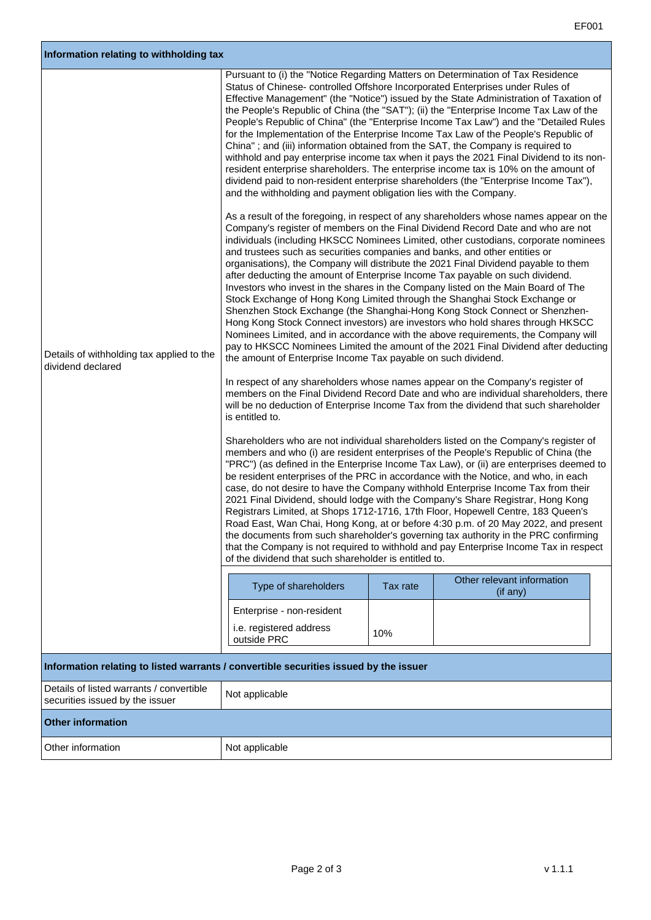٦

| Information relating to withholding tax                                               |                                                                                                                                                                                                                                                                                                                                                                                                                                                                                                                                                                                                        |          |                                                                                                                                                                                                                                                                                                                                                                                                                                                                                                                                                                                                                                                                                                                                                                                                                                                                                                                                                                                                                                                                                                                                                                                                                                                                                                                                                                                                                                                                                                                                                                                                                                                                                                                                                                                                                                                                                                                                                                                                                                                                                                                                                                                                                                                                                                                                                                                                                                                                                                                                                                                                                                                                                                                                                                                                                        |  |
|---------------------------------------------------------------------------------------|--------------------------------------------------------------------------------------------------------------------------------------------------------------------------------------------------------------------------------------------------------------------------------------------------------------------------------------------------------------------------------------------------------------------------------------------------------------------------------------------------------------------------------------------------------------------------------------------------------|----------|------------------------------------------------------------------------------------------------------------------------------------------------------------------------------------------------------------------------------------------------------------------------------------------------------------------------------------------------------------------------------------------------------------------------------------------------------------------------------------------------------------------------------------------------------------------------------------------------------------------------------------------------------------------------------------------------------------------------------------------------------------------------------------------------------------------------------------------------------------------------------------------------------------------------------------------------------------------------------------------------------------------------------------------------------------------------------------------------------------------------------------------------------------------------------------------------------------------------------------------------------------------------------------------------------------------------------------------------------------------------------------------------------------------------------------------------------------------------------------------------------------------------------------------------------------------------------------------------------------------------------------------------------------------------------------------------------------------------------------------------------------------------------------------------------------------------------------------------------------------------------------------------------------------------------------------------------------------------------------------------------------------------------------------------------------------------------------------------------------------------------------------------------------------------------------------------------------------------------------------------------------------------------------------------------------------------------------------------------------------------------------------------------------------------------------------------------------------------------------------------------------------------------------------------------------------------------------------------------------------------------------------------------------------------------------------------------------------------------------------------------------------------------------------------------------------------|--|
| Details of withholding tax applied to the<br>dividend declared                        | Status of Chinese-controlled Offshore Incorporated Enterprises under Rules of<br>China"; and (iii) information obtained from the SAT, the Company is required to<br>and the withholding and payment obligation lies with the Company.<br>and trustees such as securities companies and banks, and other entities or<br>after deducting the amount of Enterprise Income Tax payable on such dividend.<br>the amount of Enterprise Income Tax payable on such dividend.<br>is entitled to.<br>of the dividend that such shareholder is entitled to.<br>Type of shareholders<br>Enterprise - non-resident | Tax rate | Pursuant to (i) the "Notice Regarding Matters on Determination of Tax Residence<br>Effective Management" (the "Notice") issued by the State Administration of Taxation of<br>the People's Republic of China (the "SAT"); (ii) the "Enterprise Income Tax Law of the<br>People's Republic of China" (the "Enterprise Income Tax Law") and the "Detailed Rules<br>for the Implementation of the Enterprise Income Tax Law of the People's Republic of<br>withhold and pay enterprise income tax when it pays the 2021 Final Dividend to its non-<br>resident enterprise shareholders. The enterprise income tax is 10% on the amount of<br>dividend paid to non-resident enterprise shareholders (the "Enterprise Income Tax"),<br>As a result of the foregoing, in respect of any shareholders whose names appear on the<br>Company's register of members on the Final Dividend Record Date and who are not<br>individuals (including HKSCC Nominees Limited, other custodians, corporate nominees<br>organisations), the Company will distribute the 2021 Final Dividend payable to them<br>Investors who invest in the shares in the Company listed on the Main Board of The<br>Stock Exchange of Hong Kong Limited through the Shanghai Stock Exchange or<br>Shenzhen Stock Exchange (the Shanghai-Hong Kong Stock Connect or Shenzhen-<br>Hong Kong Stock Connect investors) are investors who hold shares through HKSCC<br>Nominees Limited, and in accordance with the above requirements, the Company will<br>pay to HKSCC Nominees Limited the amount of the 2021 Final Dividend after deducting<br>In respect of any shareholders whose names appear on the Company's register of<br>members on the Final Dividend Record Date and who are individual shareholders, there<br>will be no deduction of Enterprise Income Tax from the dividend that such shareholder<br>Shareholders who are not individual shareholders listed on the Company's register of<br>members and who (i) are resident enterprises of the People's Republic of China (the<br>"PRC") (as defined in the Enterprise Income Tax Law), or (ii) are enterprises deemed to<br>be resident enterprises of the PRC in accordance with the Notice, and who, in each<br>case, do not desire to have the Company withhold Enterprise Income Tax from their<br>2021 Final Dividend, should lodge with the Company's Share Registrar, Hong Kong<br>Registrars Limited, at Shops 1712-1716, 17th Floor, Hopewell Centre, 183 Queen's<br>Road East, Wan Chai, Hong Kong, at or before 4:30 p.m. of 20 May 2022, and present<br>the documents from such shareholder's governing tax authority in the PRC confirming<br>that the Company is not required to withhold and pay Enterprise Income Tax in respect<br>Other relevant information<br>(if any) |  |
|                                                                                       | i.e. registered address<br>outside PRC                                                                                                                                                                                                                                                                                                                                                                                                                                                                                                                                                                 | 10%      |                                                                                                                                                                                                                                                                                                                                                                                                                                                                                                                                                                                                                                                                                                                                                                                                                                                                                                                                                                                                                                                                                                                                                                                                                                                                                                                                                                                                                                                                                                                                                                                                                                                                                                                                                                                                                                                                                                                                                                                                                                                                                                                                                                                                                                                                                                                                                                                                                                                                                                                                                                                                                                                                                                                                                                                                                        |  |
| Information relating to listed warrants / convertible securities issued by the issuer |                                                                                                                                                                                                                                                                                                                                                                                                                                                                                                                                                                                                        |          |                                                                                                                                                                                                                                                                                                                                                                                                                                                                                                                                                                                                                                                                                                                                                                                                                                                                                                                                                                                                                                                                                                                                                                                                                                                                                                                                                                                                                                                                                                                                                                                                                                                                                                                                                                                                                                                                                                                                                                                                                                                                                                                                                                                                                                                                                                                                                                                                                                                                                                                                                                                                                                                                                                                                                                                                                        |  |
| Details of listed warrants / convertible                                              | Not applicable                                                                                                                                                                                                                                                                                                                                                                                                                                                                                                                                                                                         |          |                                                                                                                                                                                                                                                                                                                                                                                                                                                                                                                                                                                                                                                                                                                                                                                                                                                                                                                                                                                                                                                                                                                                                                                                                                                                                                                                                                                                                                                                                                                                                                                                                                                                                                                                                                                                                                                                                                                                                                                                                                                                                                                                                                                                                                                                                                                                                                                                                                                                                                                                                                                                                                                                                                                                                                                                                        |  |
| securities issued by the issuer                                                       |                                                                                                                                                                                                                                                                                                                                                                                                                                                                                                                                                                                                        |          |                                                                                                                                                                                                                                                                                                                                                                                                                                                                                                                                                                                                                                                                                                                                                                                                                                                                                                                                                                                                                                                                                                                                                                                                                                                                                                                                                                                                                                                                                                                                                                                                                                                                                                                                                                                                                                                                                                                                                                                                                                                                                                                                                                                                                                                                                                                                                                                                                                                                                                                                                                                                                                                                                                                                                                                                                        |  |
| <b>Other information</b>                                                              |                                                                                                                                                                                                                                                                                                                                                                                                                                                                                                                                                                                                        |          |                                                                                                                                                                                                                                                                                                                                                                                                                                                                                                                                                                                                                                                                                                                                                                                                                                                                                                                                                                                                                                                                                                                                                                                                                                                                                                                                                                                                                                                                                                                                                                                                                                                                                                                                                                                                                                                                                                                                                                                                                                                                                                                                                                                                                                                                                                                                                                                                                                                                                                                                                                                                                                                                                                                                                                                                                        |  |
| Other information                                                                     | Not applicable                                                                                                                                                                                                                                                                                                                                                                                                                                                                                                                                                                                         |          |                                                                                                                                                                                                                                                                                                                                                                                                                                                                                                                                                                                                                                                                                                                                                                                                                                                                                                                                                                                                                                                                                                                                                                                                                                                                                                                                                                                                                                                                                                                                                                                                                                                                                                                                                                                                                                                                                                                                                                                                                                                                                                                                                                                                                                                                                                                                                                                                                                                                                                                                                                                                                                                                                                                                                                                                                        |  |